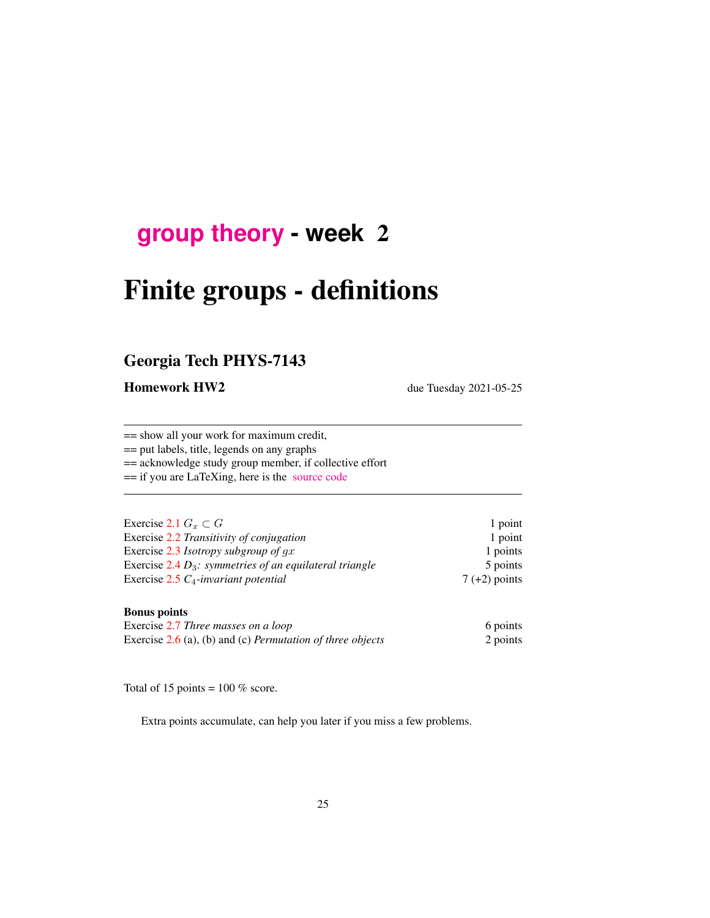## **[group theory](http://birdtracks.eu/course3/schedule.html) - week** 2

# Finite groups - definitions

## Georgia Tech PHYS-7143

Homework HW2 due Tuesday 2021-05-25

== show all your work for maximum credit,

== put labels, title, legends on any graphs

== acknowledge study group member, if collective effort

== if you are LaTeXing, here is the [source code](http://birdtracks.eu/course3/exerWeek2.tex)

| Exercise 2.1 $G_r \subset G$                               | 1 point         |
|------------------------------------------------------------|-----------------|
| Exercise 2.2 Transitivity of conjugation                   | 1 point         |
| Exercise 2.3 Isotropy subgroup of $gx$                     | 1 points        |
| Exercise 2.4 $D_3$ : symmetries of an equilateral triangle | 5 points        |
| Exercise $2.5 C_4$ -invariant potential                    | $7 (+2)$ points |

#### Bonus points

| Exercise 2.7 Three masses on a loop                                 | 6 points |
|---------------------------------------------------------------------|----------|
| Exercise $2.6$ (a), (b) and (c) <i>Permutation of three objects</i> | 2 points |

Total of 15 points =  $100\%$  score.

Extra points accumulate, can help you later if you miss a few problems.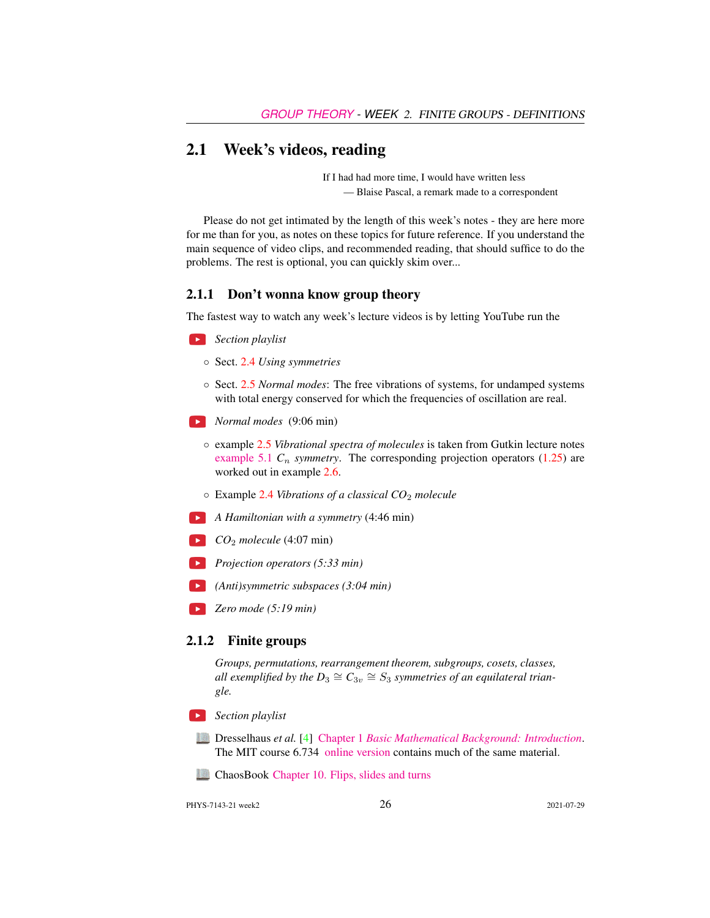## 2.1 Week's videos, reading

If I had had more time, I would have written less — Blaise Pascal, a remark made to a correspondent

Please do not get intimated by the length of this week's notes - they are here more for me than for you, as notes on these topics for future reference. If you understand the main sequence of video clips, and recommended reading, that should suffice to do the problems. The rest is optional, you can quickly skim over...

#### 2.1.1 Don't wonna know group theory

The fastest way to watch any week's lecture videos is by letting YouTube run the

 $\bullet$ *Section playlist*

- Sect. [2.4](#page-3-0) *Using symmetries*
- Sect. [2.5](#page-3-1) *Normal modes*: The free vibrations of systems, for undamped systems with total energy conserved for which the frequencies of oscillation are real.
- *Normal modes* (9:06 min)
	- example [2.5](#page-11-0) *Vibrational spectra of molecules* is taken from Gutkin lecture notes [example 5.1](http://birdtracks.eu/course3/groups.pdf#section.5.1)  $C_n$  *symmetry*. The corresponding projection operators (1.25) are worked out in example [2.6.](#page-13-0)
	- Example [2.4](#page-9-0) *Vibrations of a classical CO*<sup>2</sup> *molecule*
- *A Hamiltonian with a symmetry* (4:46 min)
- $CO<sub>2</sub> molecule (4:07 min)$
- *Projection operators (5:33 min)*
- *(Anti)symmetric subspaces (3:04 min)*
- *Zero mode (5:19 min)*

#### 2.1.2 Finite groups

*Groups, permutations, rearrangement theorem, subgroups, cosets, classes,* all exemplified by the  $D_3 \cong C_{3v} \cong S_3$  symmetries of an equilateral trian*gle.*

- *Section playlist*
	- Dresselhaus *et al.* [\[4\]](#page-15-4) Chapter 1 *[Basic Mathematical Background: Introduction](http://chaosbook.org/library/Dresselhaus07.pdf#page=16)*. The MIT course 6.734 [online version](http://stuff.mit.edu/afs/athena/course/6/6.734j/www/) contains much of the same material.
	- ChaosBook [Chapter 10. Flips, slides and turns](http://ChaosBook.org/chapters/ChaosBook.pdf#chapter.10)

PHYS-7143-21 week2 2021-07-29 26 2021-07-29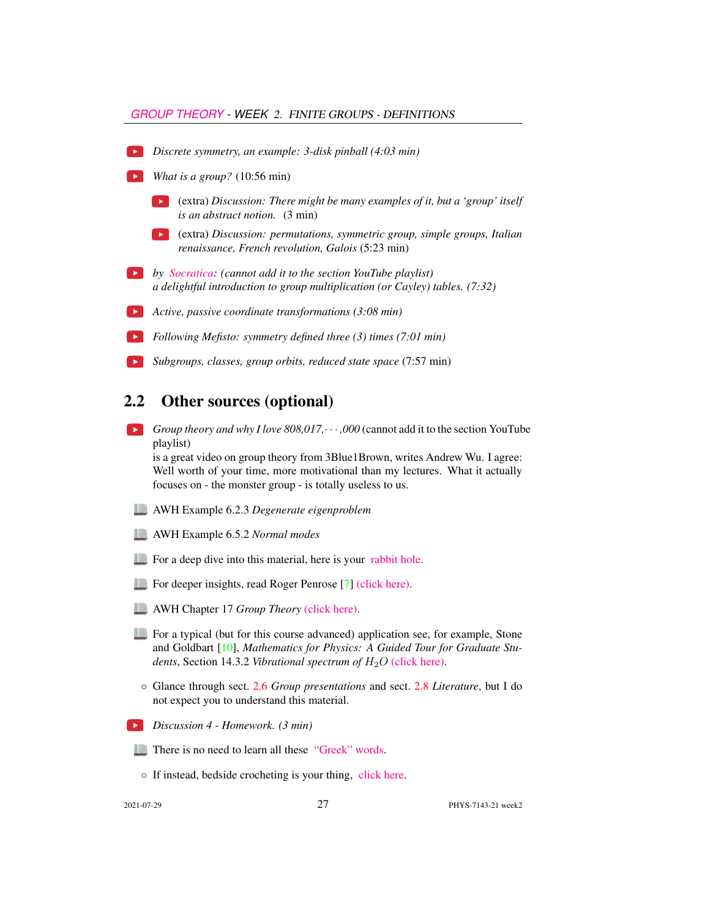#### *[GROUP THEORY](HTTP://BIRDTRACKS.EU/COURSE3/SCHEDULE.HTML) - WEEK* 2. FINITE GROUPS - DEFINITIONS

- *Discrete symmetry, an example: 3-disk pinball (4:03 min)*
- **•** *What is a group?* (10:56 min)
	- (extra) *Discussion: There might be many examples of it, but a 'group' itself is an abstract notion.* (3 min)
	- (extra) *Discussion: permutations, symmetric group, simple groups, Italian renaissance, French revolution, Galois* (5:23 min)
- *by [Socratica:](https://www.youtube.com/playlist?list=PLi01XoE8jYoi3SgnnGorR_XOW3IcK-TP6) (cannot add it to the section YouTube playlist) a delightful introduction to group multiplication (or Cayley) tables. (7:32)*
- *Active, passive coordinate transformations (3:08 min)*
	- *Following Mefisto: symmetry defined three (3) times (7:01 min)*
	- *Subgroups, classes, group orbits, reduced state space* (7:57 min)

## 2.2 Other sources (optional)

*Group theory and why I love 808,017,*· · · *,000* (cannot add it to the section YouTube playlist)

is a great video on group theory from 3Blue1Brown, writes Andrew Wu. I agree: Well worth of your time, more motivational than my lectures. What it actually focuses on - the monster group - is totally useless to us.

- AWH Example 6.2.3 *Degenerate eigenproblem*
- AWH Example 6.5.2 *Normal modes*
- For a deep dive into this material, here is your [rabbit hole.](http://birdtracks.eu/courses/PHYS-7143-19/index.html)
- For deeper insights, read Roger Penrose [\[7\]](#page-15-5) [\(click here\).](http://ChaosBook.org/library/Penr04-13.pdf)
- AWH Chapter 17 *Group Theory* [\(click here\).](http://ChaosBook.org/library/ArWeHa13chap17Group-Theory.pdf)
- For a typical (but for this course advanced) application see, for example, Stone and Goldbart [\[10\]](#page-15-6), *Mathematics for Physics: A Guided Tour for Graduate Students*, Section 14.3.2 *Vibrational spectrum of*  $H_2O$  [\(click here\).](http://ChaosBook.org/library/StGo09.pdf)
- Glance through sect. [2.6](#page-4-0) *Group presentations* and sect. [2.8](#page-7-0) *Literature*, but I do not expect you to understand this material.
- *Discussion 4 Homework. (3 min)*



◦ If instead, bedside crocheting is your thing, [click here.](http://www.theiff.org/oexhibits/oe1e.html)

2021-07-29 27 PHYS-7143-21 week2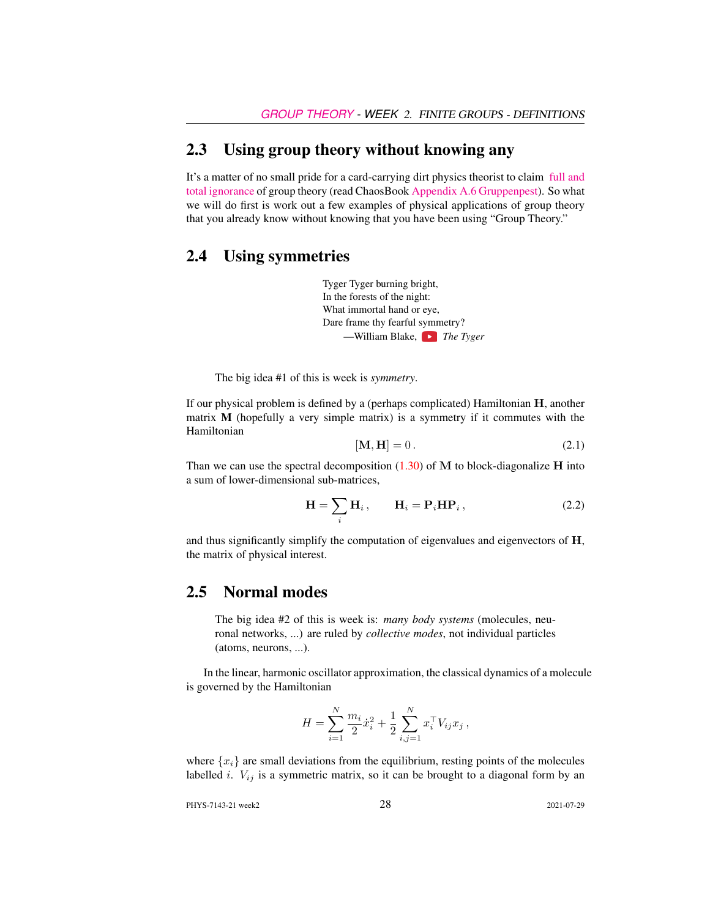## 2.3 Using group theory without knowing any

It's a matter of no small pride for a card-carrying dirt physics theorist to claim [full and](https://www.youtube.com/embed/CvuoY_yPZeM) [total ignorance](https://www.youtube.com/embed/CvuoY_yPZeM) of group theory (read ChaosBook [Appendix A.6 Gruppenpest\)](http://ChaosBook.org/chapters/ChaosBook.pdf#section.A.6). So what we will do first is work out a few examples of physical applications of group theory that you already know without knowing that you have been using "Group Theory."

## <span id="page-3-0"></span>2.4 Using symmetries

Tyger Tyger burning bright, In the forests of the night: What immortal hand or eye, Dare frame thy fearful symmetry? —William Blake, *The Tyger*

The big idea #1 of this is week is *symmetry*.

If our physical problem is defined by a (perhaps complicated) Hamiltonian  $H$ , another matrix M (hopefully a very simple matrix) is a symmetry if it commutes with the Hamiltonian

$$
[\mathbf{M}, \mathbf{H}] = 0. \tag{2.1}
$$

Than we can use the spectral decomposition  $(1.30)$  of M to block-diagonalize H into a sum of lower-dimensional sub-matrices,

$$
\mathbf{H} = \sum_{i} \mathbf{H}_{i}, \qquad \mathbf{H}_{i} = \mathbf{P}_{i} \mathbf{H} \mathbf{P}_{i}, \qquad (2.2)
$$

and thus significantly simplify the computation of eigenvalues and eigenvectors of H, the matrix of physical interest.

## <span id="page-3-1"></span>2.5 Normal modes

The big idea #2 of this is week is: *many body systems* (molecules, neuronal networks, ...) are ruled by *collective modes*, not individual particles (atoms, neurons, ...).

In the linear, harmonic oscillator approximation, the classical dynamics of a molecule is governed by the Hamiltonian

$$
H = \sum_{i=1}^{N} \frac{m_i}{2} \dot{x}_i^2 + \frac{1}{2} \sum_{i,j=1}^{N} x_i^{\top} V_{ij} x_j,
$$

where  $\{x_i\}$  are small deviations from the equilibrium, resting points of the molecules labelled *i*.  $V_{ij}$  is a symmetric matrix, so it can be brought to a diagonal form by an

PHYS-7143-21 week2 28 2021-07-29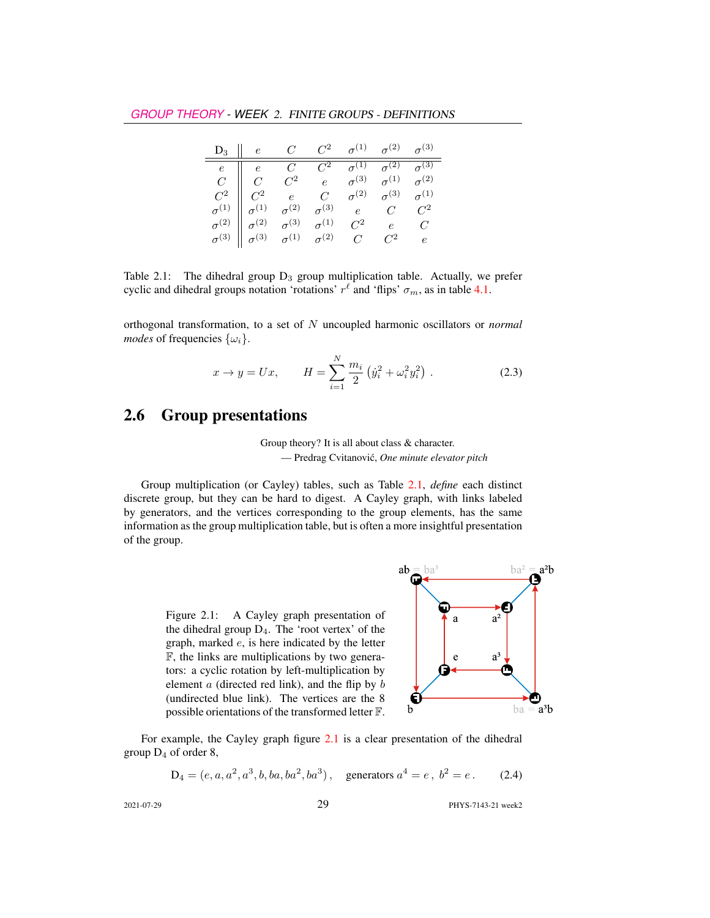| $\mathbf{D}_3 \begin{array}{ c c c c } \hline \rule{0mm}{1.2mm} & \quad & \quad \\ \hline \rule{0mm}{2.2mm} & \quad & \quad \\ \hline \rule{0mm}{2.2mm} & \quad & \quad \\ \hline \rule{0mm}{2.2mm} & \quad & \quad \\ \hline \rule{0mm}{2.2mm} & \quad & \quad \\ \hline \rule{0mm}{2.2mm} & \quad & \quad \\ \hline \rule{0mm}{2.2mm} & \quad & \quad \\ \hline \rule{0mm}{2.2mm} & \quad & \quad \\ \hline \rule{0mm}{2.2mm} & \quad & \quad \\ \hline \rule{0mm}{$ |  |       |            |
|------------------------------------------------------------------------------------------------------------------------------------------------------------------------------------------------------------------------------------------------------------------------------------------------------------------------------------------------------------------------------------------------------------------------------------------------------------------------|--|-------|------------|
| $\begin{tabular}{c cccc} $e$ & $e$ & $C$ & $C^2$ & $\sigma^{(1)}$ & $\sigma^{(2)}$ & $\sigma^{(3)}$ \\ $C$ & $C$ & $C^2$ & $e$ & $\sigma^{(3)}$ & $\sigma^{(1)}$ & $\sigma^{(2)}$ \\ $C^2$ & $C^2$ & $e$ & $C$ & $\sigma^{(2)}$ & $\sigma^{(3)}$ & $\sigma^{(1)}$ \\ $\sigma^{(1)}$ & $\sigma^{(1)}$ & $\sigma^{(2)}$ & $\sigma^{(3)}$ & $e$ & $C$ & $C^2$ \\ $\sigma^{(2)}$ & $\sigma^{(2)}$ & $\sigma^{(3)}$ & $\sigma^{(1)}$ & $C^2$                                |  |       |            |
|                                                                                                                                                                                                                                                                                                                                                                                                                                                                        |  |       |            |
|                                                                                                                                                                                                                                                                                                                                                                                                                                                                        |  |       |            |
|                                                                                                                                                                                                                                                                                                                                                                                                                                                                        |  |       |            |
|                                                                                                                                                                                                                                                                                                                                                                                                                                                                        |  |       |            |
| $\sigma^{(3)}$ $\Big\ \begin{array}{cc} \circ & \circ & \circ \\ \sigma^{(3)} & \sigma^{(1)} & \sigma^{(2)} & C \end{array}\Big\ $                                                                                                                                                                                                                                                                                                                                     |  | $C^2$ | $\epsilon$ |

<span id="page-4-1"></span>Table 2.1: The dihedral group  $D_3$  group multiplication table. Actually, we prefer cyclic and dihedral groups notation 'rotations'  $r^{\ell}$  and 'flips'  $\sigma_m$ , as in table 4.1.

orthogonal transformation, to a set of N uncoupled harmonic oscillators or *normal modes* of frequencies  $\{\omega_i\}$ .

$$
x \to y = Ux, \qquad H = \sum_{i=1}^{N} \frac{m_i}{2} \left( \dot{y}_i^2 + \omega_i^2 y_i^2 \right) . \tag{2.3}
$$

## <span id="page-4-0"></span>2.6 Group presentations

#### Group theory? It is all about class & character. — Predrag Cvitanovic,´ *One minute elevator pitch*

Group multiplication (or Cayley) tables, such as Table [2.1,](#page-4-1) *define* each distinct discrete group, but they can be hard to digest. A Cayley graph, with links labeled by generators, and the vertices corresponding to the group elements, has the same information as the group multiplication table, but is often a more insightful presentation of the group.

> <span id="page-4-2"></span>Figure 2.1: A Cayley graph presentation of the dihedral group  $D_4$ . The 'root vertex' of the graph, marked e, is here indicated by the letter F, the links are multiplications by two generators: a cyclic rotation by left-multiplication by element  $a$  (directed red link), and the flip by  $b$ (undirected blue link). The vertices are the 8 possible orientations of the transformed letter F.



For example, the Cayley graph figure [2.1](#page-4-2) is a clear presentation of the dihedral group  $D_4$  of order 8,

$$
D_4 = (e, a, a^2, a^3, b, ba, ba^2, ba^3), \quad \text{generators } a^4 = e, \ b^2 = e. \tag{2.4}
$$
  
2021-07-29  
PIYS-7143-21 week2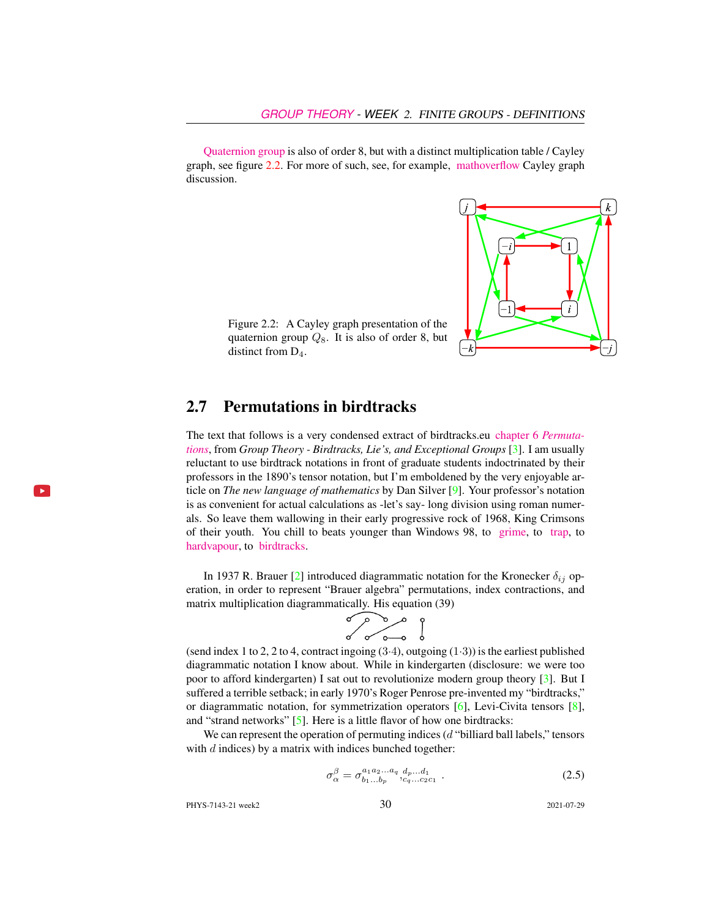[Quaternion group](https://en.wikipedia.org/wiki/Quaternion_group) is also of order 8, but with a distinct multiplication table / Cayley graph, see figure [2.2.](#page-5-0) For more of such, see, for example, [mathoverflow](https://mathoverflow.net/questions/244524/when-can-the-cayley-graph-of-the-symmetries-of-an-object-have-those-symmetries) Cayley graph discussion.



<span id="page-5-0"></span>Figure 2.2: A Cayley graph presentation of the quaternion group  $Q_8$ . It is also of order 8, but distinct from  $D_4$ .

## 2.7 Permutations in birdtracks

The text that follows is a very condensed extract of birdtracks.eu [chapter 6](http://birdtracks.eu/version9.0/GroupTheory.pdf#section.6.1) *Permuta[tions](http://birdtracks.eu/version9.0/GroupTheory.pdf#section.6.1)*, from *Group Theory - Birdtracks, Lie's, and Exceptional Groups* [\[3\]](#page-15-7). I am usually reluctant to use birdtrack notations in front of graduate students indoctrinated by their professors in the 1890's tensor notation, but I'm emboldened by the very enjoyable article on *The new language of mathematics* by Dan Silver [\[9\]](#page-15-8). Your professor's notation is as convenient for actual calculations as -let's say- long division using roman numerals. So leave them wallowing in their early progressive rock of 1968, King Crimsons of their youth. You chill to beats younger than Windows 98, to [grime,](https://www.youtube.com/watch?v=RqQGUJK7Na4) to [trap,](https://www.youtube.com/watch?v=i_kF4zLNKio) to [hardvapour,](https://antifurdigital.bandcamp.com/album/hardvapour-2) to [birdtracks.](https://www.youtube.com/watch?v=XMGbY1csVnI)

In 1937 R. Brauer [\[2\]](#page-14-0) introduced diagrammatic notation for the Kronecker  $\delta_{ij}$  operation, in order to represent "Brauer algebra" permutations, index contractions, and matrix multiplication diagrammatically. His equation (39)



(send index 1 to 2, 2 to 4, contract ingoing  $(3.4)$ , outgoing  $(1.3)$ ) is the earliest published diagrammatic notation I know about. While in kindergarten (disclosure: we were too poor to afford kindergarten) I sat out to revolutionize modern group theory [\[3\]](#page-15-7). But I suffered a terrible setback; in early 1970's Roger Penrose pre-invented my "birdtracks," or diagrammatic notation, for symmetrization operators [\[6\]](#page-15-9), Levi-Civita tensors [\[8\]](#page-15-10), and "strand networks" [\[5\]](#page-15-11). Here is a little flavor of how one birdtracks:

We can represent the operation of permuting indices  $(d$  "billiard ball labels," tensors with  $d$  indices) by a matrix with indices bunched together:

$$
\sigma_{\alpha}^{\beta} = \sigma_{b_1...b_p}^{a_1 a_2...a_q} \, d_{p...d_1}^{d_{p}...d_1} \tag{2.5}
$$

PHYS-7143-21 week2 30 2021-07-29

$$
-3\phantom{.0}
$$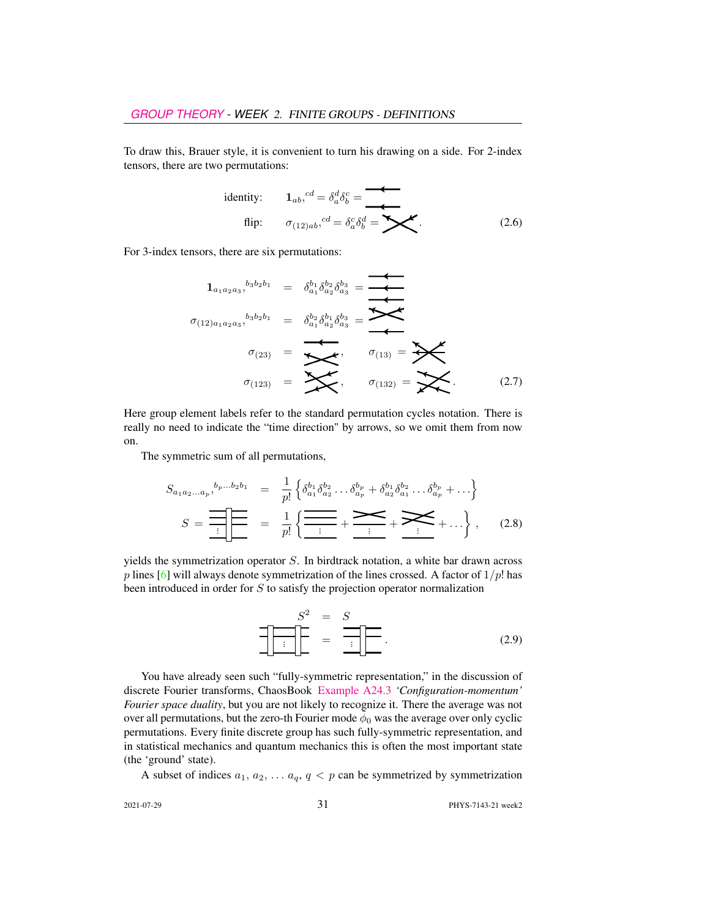To draw this, Brauer style, it is convenient to turn his drawing on a side. For 2-index tensors, there are two permutations:

identity: 
$$
1_{ab}
$$
,  ${}^{cd} = \delta_a^d \delta_b^c =$   
flip:  $\sigma_{(12)ab}$ ,  ${}^{cd} = \delta_a^c \delta_b^d =$   $\blacktriangleright$  (2.6)

For 3-index tensors, there are six permutations:

$$
1_{a_1a_2a_3}^{b_3b_2b_1} = \delta_{a_1}^{b_1}\delta_{a_2}^{b_2}\delta_{a_3}^{b_3} = \underbrace{\phantom{...}}_{\sigma_{(12)a_1a_2a_3}^{b_3b_2b_1}} = \underbrace{\delta_{a_1}^{b_2}\delta_{a_2}^{b_1}\delta_{a_3}^{b_3}}_{\sigma_{(13)}} = \underbrace{\phantom{...}}_{\sigma_{(13)}} = \underbrace{\phantom{...}}_{\sigma_{(132)}} = \underbrace{\phantom{...}}_{\sigma_{(132)}} = \underbrace{\phantom{...}}_{\sigma_{(133)}} = \underbrace{\phantom{...}}_{\sigma_{(132)}} = \underbrace{\phantom{...}}_{\sigma_{(133)}} = \underbrace{\phantom{...}}_{\sigma_{(134)}} \tag{2.7}
$$

Here group element labels refer to the standard permutation cycles notation. There is really no need to indicate the "time direction" by arrows, so we omit them from now on.

The symmetric sum of all permutations,

$$
S_{a_1 a_2 ... a_p},^{b_p...b_2 b_1} = \frac{1}{p!} \left\{ \delta_{a_1}^{b_1} \delta_{a_2}^{b_2} ... \delta_{a_p}^{b_p} + \delta_{a_2}^{b_1} \delta_{a_1}^{b_2} ... \delta_{a_p}^{b_p} + ... \right\}
$$

$$
S = \frac{1}{\frac{1}{p!} \left\{ \frac{1}{\frac{1}{p!} + \frac{1}{p!} + \frac{1}{p!} + \frac{1}{p!} + ... \right\}},
$$
(2.8)

yields the symmetrization operator S. In birdtrack notation, a white bar drawn across p lines [\[6\]](#page-15-9) will always denote symmetrization of the lines crossed. A factor of  $1/p!$  has been introduced in order for  $S$  to satisfy the projection operator normalization

S <sup>2</sup> = S = ... . (2.9)

You have already seen such "fully-symmetric representation," in the discussion of discrete Fourier transforms, ChaosBook [Example A24.3](http://ChaosBook.org/chapters/ChaosBook.pdf#section.X.6) *'Configuration-momentum' Fourier space duality*, but you are not likely to recognize it. There the average was not over all permutations, but the zero-th Fourier mode  $\bar{\phi}_0$  was the average over only cyclic permutations. Every finite discrete group has such fully-symmetric representation, and in statistical mechanics and quantum mechanics this is often the most important state (the 'ground' state).

A subset of indices  $a_1, a_2, \ldots, a_q, q < p$  can be symmetrized by symmetrization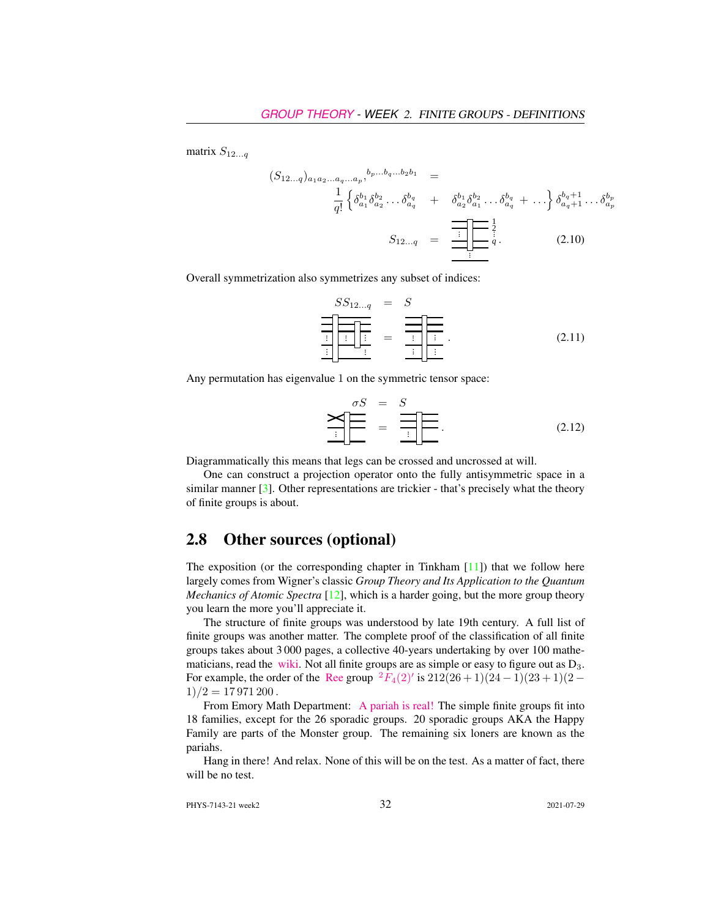matrix  $S_{12...q}$ 

$$
(S_{12...q})_{a_1 a_2 ... a_q ... a_p},^{b_p... b_q... b_2 b_1} =
$$
  

$$
\frac{1}{q!} \left\{ \delta_{a_1}^{b_1} \delta_{a_2}^{b_2} ... \delta_{a_q}^{b_q} + \delta_{a_2}^{b_1} \delta_{a_1}^{b_2} ... \delta_{a_q}^{b_q} + ... \right\} \delta_{a_q+1}^{b_q+1} ... \delta_{a_p}^{b_p}
$$
  

$$
S_{12...q} = \frac{\frac{1}{q!} \left[ \frac{1}{q} \right]_q^{\frac{1}{q}}}{\frac{1}{q}}.
$$
 (2.10)

Overall symmetrization also symmetrizes any subset of indices:

$$
SS_{12...q} = S
$$
\n
$$
\frac{\frac{\sqrt{S_{12...q}}}{\sqrt{S_{12...q}}}} = \frac{\frac{\sqrt{S_{12...q}}}{\sqrt{S_{12...q}}}} = \frac{\frac{\sqrt{S_{12...q}}}{\sqrt{S_{12...q}}}} = \frac{\frac{\sqrt{S_{12...q}}}{\sqrt{S_{12...q}}}} = \frac{\frac{\sqrt{S_{12...q}}}{\sqrt{S_{12...q}}}} = \frac{\frac{\sqrt{S_{12...q}}}{\sqrt{S_{12...q}}}} = \frac{\frac{\sqrt{S_{12...q}}}{\sqrt{S_{12...q}}}} = \frac{\frac{\sqrt{S_{12...q}}}{\sqrt{S_{12...q}}}} = \frac{\frac{\sqrt{S_{12...q}}}{\sqrt{S_{12...q}}}} = \frac{\frac{\sqrt{S_{12...q}}}{\sqrt{S_{12...q}}}} = \frac{\frac{\sqrt{S_{12...q}}}{\sqrt{S_{12...q}}}} = \frac{\frac{\sqrt{S_{12...q}}}{\sqrt{S_{12...q}}}} = \frac{\frac{\sqrt{S_{12...q}}}{\sqrt{S_{12...q}}}} = \frac{\frac{\sqrt{S_{12...q}}}{\sqrt{S_{12...q}}}} = \frac{\frac{\sqrt{S_{12...q}}}{\sqrt{S_{12...q}}}} = \frac{\frac{\sqrt{S_{12...q}}}{\sqrt{S_{12...q}}}} = \frac{\frac{\sqrt{S_{12...q}}}{\sqrt{S_{12...q}}}} = \frac{\frac{\sqrt{S_{12...q}}}{\sqrt{S_{12...q}}}} = \frac{\frac{\sqrt{S_{12...q}}}{\sqrt{S_{12...q}}}} = \frac{\frac{\sqrt{S_{12...q}}}{\sqrt{S_{12...q}}}} = \frac{\frac{\sqrt{S_{12...q}}}{\sqrt{S_{12...q}}}} = \frac{\frac{\sqrt{S_{12...q}}}{\sqrt{S_{12...q}}}} = \frac{\frac{\sqrt{S_{12...q}}}{\sqrt{S_{12...q}}}} = \frac{\frac{\sqrt{S_{12...q}}}{\sqrt{S_{12...q}}}} = \frac{\frac{\sqrt{S_{12...q}}}{\sqrt{S_{12...q}}}} = \frac{\frac{\sqrt{S_{12...q}}}{\sqrt{S_{12...q}}}} = \frac{\frac{\sqrt{S_{12...q}}}{\sqrt{S_{12...q}}}} = \frac{\frac{\sqrt{S_{12...
$$

Any permutation has eigenvalue 1 on the symmetric tensor space:

$$
\sum_{i} \frac{\sigma S}{\sigma} = \sum_{i} \frac{S}{\sigma} \sum_{i} \frac{1}{\sigma} \tag{2.12}
$$

Diagrammatically this means that legs can be crossed and uncrossed at will.

One can construct a projection operator onto the fully antisymmetric space in a similar manner  $\lceil 3 \rceil$ . Other representations are trickier - that's precisely what the theory of finite groups is about.

## <span id="page-7-0"></span>2.8 Other sources (optional)

The exposition (or the corresponding chapter in Tinkham [\[11\]](#page-15-12)) that we follow here largely comes from Wigner's classic *Group Theory and Its Application to the Quantum Mechanics of Atomic Spectra* [\[12\]](#page-15-13), which is a harder going, but the more group theory you learn the more you'll appreciate it.

The structure of finite groups was understood by late 19th century. A full list of finite groups was another matter. The complete proof of the classification of all finite groups takes about 3 000 pages, a collective 40-years undertaking by over 100 mathematicians, read the [wiki.](https://en.wikipedia.org/wiki/Classification_of_finite_simple_groups) Not all finite groups are as simple or easy to figure out as  $D_3$ . For example, the order of the [Ree](https://en.wikipedia.org/wiki/List_of_finite_simple_groups) group  ${}^{2}F_{4}(2)'$  ${}^{2}F_{4}(2)'$  ${}^{2}F_{4}(2)'$  is  $212(26+1)(24-1)(23+1)(2 1)/2 = 17971200$ .

From Emory Math Department: [A pariah is real!](https://cosmosmagazine.com/mathematics/moonshine-doughnut-maths-proves-pariahs-are-real) The simple finite groups fit into 18 families, except for the 26 sporadic groups. 20 sporadic groups AKA the Happy Family are parts of the Monster group. The remaining six loners are known as the pariahs.

Hang in there! And relax. None of this will be on the test. As a matter of fact, there will be no test.

PHYS-7143-21 week2 32 2021-07-29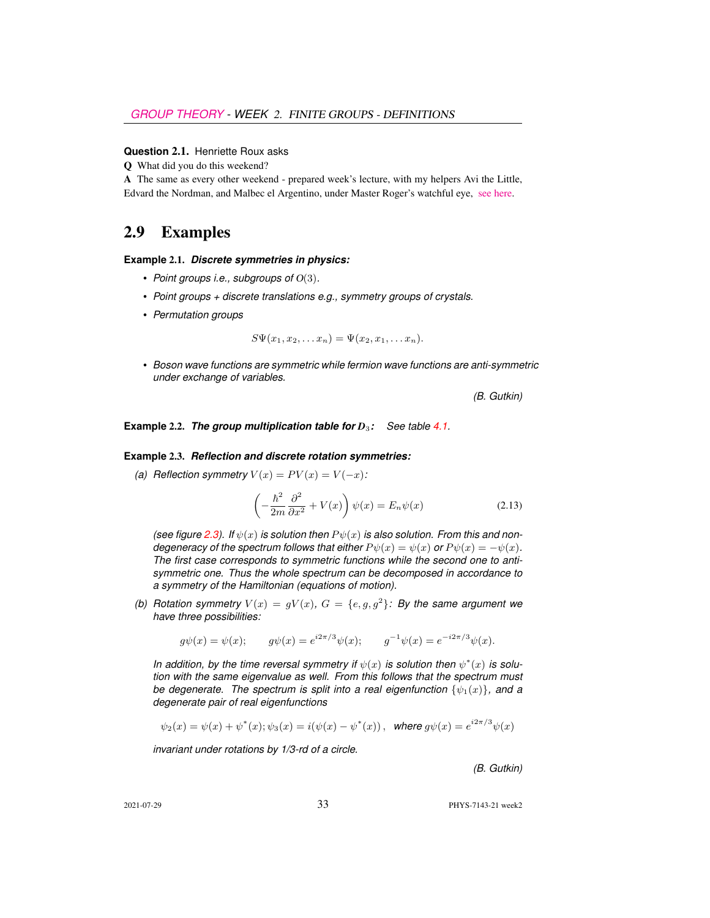#### **Question** 2.1. Henriette Roux asks

Q What did you do this weekend?

A The same as every other weekend - prepared week's lecture, with my helpers Avi the Little, Edvard the Nordman, and Malbec el Argentino, under Master Roger's watchful eye, [see here.](https://flic.kr/p/2hxYHTx)

## 2.9 Examples

#### **Example** 2.1. *Discrete symmetries in physics:*

- *Point groups i.e., subgroups of* O(3)*.*
- *Point groups + discrete translations e.g., symmetry groups of crystals.*
- *Permutation groups*

$$
S\Psi(x_1,x_2,\ldots x_n)=\Psi(x_2,x_1,\ldots x_n).
$$

• *Boson wave functions are symmetric while fermion wave functions are anti-symmetric under exchange of variables.*

*(B. Gutkin)*

**Example** 2.2. *The group multiplication table for D*3*: See table 4.1.*

#### **Example** 2.3. *Reflection and discrete rotation symmetries:*

*(a) Reflection symmetry*  $V(x) = PV(x) = V(-x)$ :

$$
\left(-\frac{\hbar^2}{2m}\frac{\partial^2}{\partial x^2} + V(x)\right)\psi(x) = E_n\psi(x)
$$
\n(2.13)

*(see figure [2.3\)](#page-9-1). If*  $\psi(x)$  *is solution then*  $P\psi(x)$  *is also solution. From this and nondegeneracy of the spectrum follows that either*  $P \psi(x) = \psi(x)$  *or*  $P \psi(x) = -\psi(x)$ *. The first case corresponds to symmetric functions while the second one to antisymmetric one. Thus the whole spectrum can be decomposed in accordance to a symmetry of the Hamiltonian (equations of motion).*

(b) Rotation symmetry  $V(x) = gV(x)$ ,  $G = \{e, g, g^2\}$ : By the same argument we *have three possibilities:*

$$
g\psi(x) = \psi(x);
$$
  $g\psi(x) = e^{i2\pi/3}\psi(x);$   $g^{-1}\psi(x) = e^{-i2\pi/3}\psi(x).$ 

In addition, by the time reversal symmetry if  $\psi(x)$  is solution then  $\psi^*(x)$  is solu*tion with the same eigenvalue as well. From this follows that the spectrum must be degenerate. The spectrum is split into a real eigenfunction*  $\{\psi_1(x)\}\$ *, and a degenerate pair of real eigenfunctions*

$$
\psi_2(x) = \psi(x) + \psi^*(x); \psi_3(x) = i(\psi(x) - \psi^*(x)),
$$
 where  $g\psi(x) = e^{i2\pi/3}\psi(x)$ 

*invariant under rotations by 1/3-rd of a circle.*

*(B. Gutkin)*

2021-07-29 33 PHYS-7143-21 week2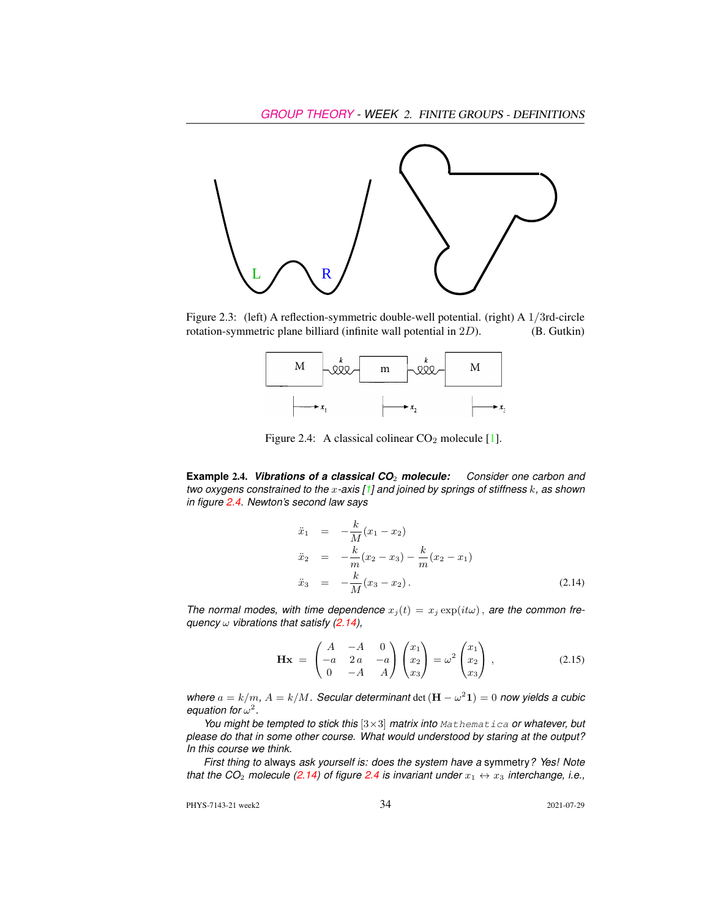

Figure 2.3: (left) A reflection-symmetric double-well potential. (right) A 1/3rd-circle rotation-symmetric plane billiard (infinite wall potential in 2D). (B. Gutkin)

<span id="page-9-1"></span>

<span id="page-9-2"></span>Figure 2.4: A classical colinear  $CO<sub>2</sub>$  molecule [\[1\]](#page-14-1).

<span id="page-9-0"></span>**Example** 2.4. *Vibrations of a classical CO*<sup>2</sup> *molecule: Consider one carbon and two oxygens constrained to the* x*-axis [\[1\]](#page-14-1) and joined by springs of stiffness* k*, as shown in figure [2.4.](#page-9-2) Newton's second law says*

<span id="page-9-3"></span>
$$
\ddot{x}_1 = -\frac{k}{M}(x_1 - x_2) \n\ddot{x}_2 = -\frac{k}{m}(x_2 - x_3) - \frac{k}{m}(x_2 - x_1) \n\ddot{x}_3 = -\frac{k}{M}(x_3 - x_2).
$$
\n(2.14)

*The normal modes, with time dependence*  $x_j(t) = x_j \exp(it\omega)$ , *are the common frequency* ω *vibrations that satisfy [\(2.14\)](#page-9-3),*

$$
\mathbf{Hx} = \begin{pmatrix} A & -A & 0 \\ -a & 2a & -a \\ 0 & -A & A \end{pmatrix} \begin{pmatrix} x_1 \\ x_2 \\ x_3 \end{pmatrix} = \omega^2 \begin{pmatrix} x_1 \\ x_2 \\ x_3 \end{pmatrix} \,, \tag{2.15}
$$

*where*  $a = k/m$ ,  $A = k/M$ . Secular determinant det  $(\mathbf{H} - \omega^2 \mathbf{1}) = 0$  now yields a cubic equation for  $\omega^2$ .

*You might be tempted to stick this* [3×3] *matrix into* Mathematica *or whatever, but please do that in some other course. What would understood by staring at the output? In this course we think.*

*First thing to* always *ask yourself is: does the system have a* symmetry*? Yes! Note that the CO<sub>2</sub> molecule [\(2.14\)](#page-9-3) of figure [2.4](#page-9-2) is invariant under*  $x_1 \leftrightarrow x_3$  *interchange, i.e.,* 

PHYS-7143-21 week2 34 2021-07-29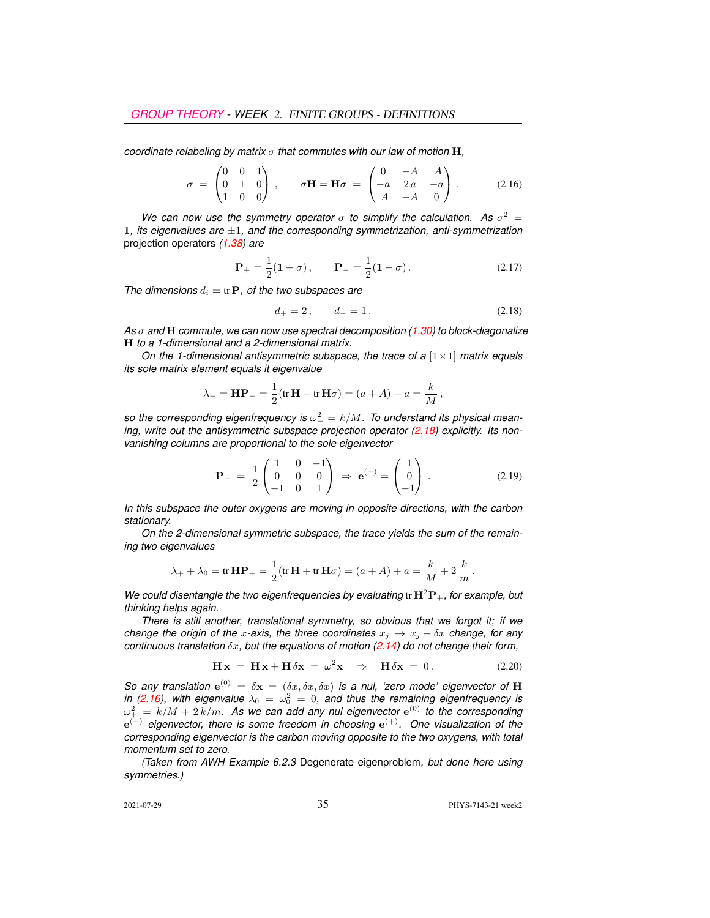*coordinate relabeling by matrix* σ *that commutes with our law of motion* H*,*

<span id="page-10-1"></span>
$$
\sigma = \begin{pmatrix} 0 & 0 & 1 \\ 0 & 1 & 0 \\ 1 & 0 & 0 \end{pmatrix}, \quad \sigma \mathbf{H} = \mathbf{H}\sigma = \begin{pmatrix} 0 & -A & A \\ -a & 2a & -a \\ A & -A & 0 \end{pmatrix}.
$$
 (2.16)

We can now use the symmetry operator  $\sigma$  to simplify the calculation. As  $\sigma^2 =$ 1*, its eigenvalues are* ±1*, and the corresponding symmetrization, anti-symmetrization* projection operators *(1.38) are*

$$
\mathbf{P}_{+} = \frac{1}{2}(\mathbf{1} + \sigma), \qquad \mathbf{P}_{-} = \frac{1}{2}(\mathbf{1} - \sigma). \tag{2.17}
$$

*The dimensions*  $d_i = \text{tr } \mathbf{P}_i$  *of the two subspaces are* 

<span id="page-10-0"></span>
$$
d_+ = 2, \qquad d_- = 1. \tag{2.18}
$$

*As* σ *and* H *commute, we can now use spectral decomposition (1.30) to block-diagonalize* H *to a 1-dimensional and a 2-dimensional matrix.*

*On the 1-dimensional antisymmetric subspace, the trace of a* [1×1] *matrix equals its sole matrix element equals it eigenvalue*

$$
\lambda_{-} = HP_{-} = \frac{1}{2}(\text{tr }\mathbf{H} - \text{tr }\mathbf{H}\sigma) = (a + A) - a = \frac{k}{M},
$$

so the corresponding eigenfrequency is  $\omega_-^2 = k/M$ . To understand its physical mean-ing, write out the antisymmetric subspace projection operator [\(2.18\)](#page-10-0) explicitly. Its non*vanishing columns are proportional to the sole eigenvector*

$$
\mathbf{P}_{-} = \frac{1}{2} \begin{pmatrix} 1 & 0 & -1 \\ 0 & 0 & 0 \\ -1 & 0 & 1 \end{pmatrix} \Rightarrow \mathbf{e}^{(-)} = \begin{pmatrix} 1 \\ 0 \\ -1 \end{pmatrix} . \tag{2.19}
$$

*In this subspace the outer oxygens are moving in opposite directions, with the carbon stationary.*

*On the 2-dimensional symmetric subspace, the trace yields the sum of the remaining two eigenvalues*

$$
\lambda_{+} + \lambda_{0} = \text{tr } \mathbf{H} \mathbf{P}_{+} = \frac{1}{2} (\text{tr } \mathbf{H} + \text{tr } \mathbf{H} \sigma) = (a + A) + a = \frac{k}{M} + 2 \frac{k}{m}.
$$

*We could disentangle the two eigenfrequencies by evaluating* tr  $H^2P_+$ *, for example, but thinking helps again.*

*There is still another, translational symmetry, so obvious that we forgot it; if we change the origin of the x-axis, the three coordinates*  $x_i \rightarrow x_j - \delta x$  *change, for any continuous translation* δx*, but the equations of motion [\(2.14\)](#page-9-3) do not change their form,*

$$
\mathbf{H}\mathbf{x} = \mathbf{H}\mathbf{x} + \mathbf{H}\delta\mathbf{x} = \omega^2 \mathbf{x} \Rightarrow \mathbf{H}\delta\mathbf{x} = 0.
$$
 (2.20)

*So any translation*  $e^{(0)} = \delta x = (\delta x, \delta x, \delta x)$  *is a nul, 'zero mode' eigenvector of* H in [\(2.16\)](#page-10-1), with eigenvalue  $\lambda_0 = \omega_0^2 = 0$ , and thus the remaining eigenfrequency is  $\omega_+^2\,=\,k/M+2\,k/m.$  As we can add any nul eigenvector  ${\rm e}^{(0)}$  to the corresponding e (+) *eigenvector, there is some freedom in choosing* e (+)*. One visualization of the corresponding eigenvector is the carbon moving opposite to the two oxygens, with total momentum set to zero.*

*(Taken from AWH Example 6.2.3* Degenerate eigenproblem*, but done here using symmetries.)*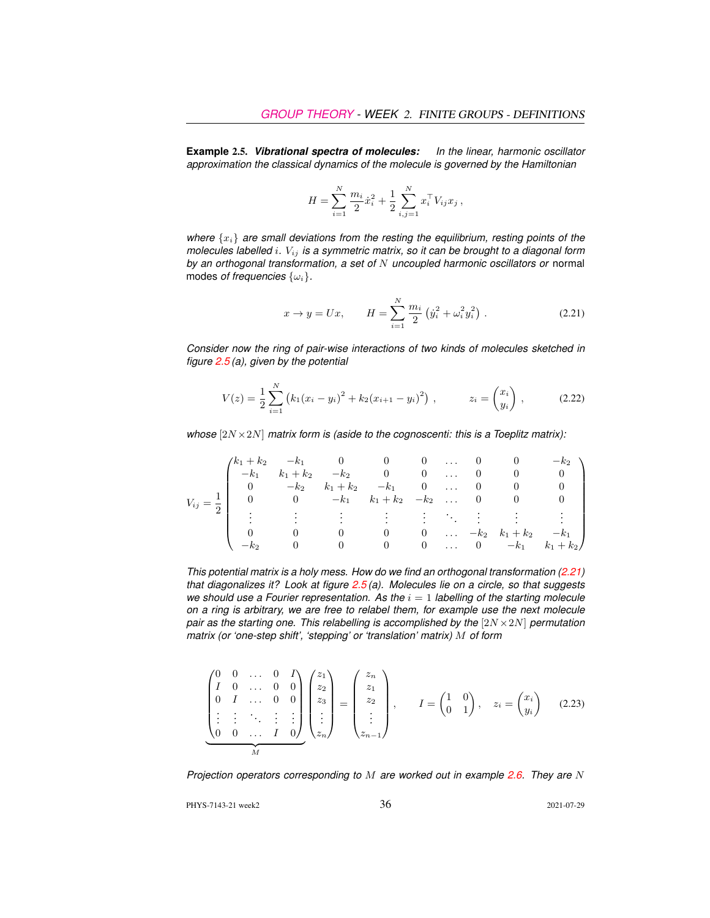<span id="page-11-0"></span>**Example** 2.5. *Vibrational spectra of molecules: In the linear, harmonic oscillator approximation the classical dynamics of the molecule is governed by the Hamiltonian*

$$
H = \sum_{i=1}^{N} \frac{m_i}{2} \dot{x}_i^2 + \frac{1}{2} \sum_{i,j=1}^{N} x_i^{\top} V_{ij} x_j ,
$$

*where*  $\{x_i\}$  *are small deviations from the resting the equilibrium, resting points of the molecules labelled* i*.* Vij *is a symmetric matrix, so it can be brought to a diagonal form by an orthogonal transformation, a set of* N *uncoupled harmonic oscillators or* normal modes *of frequencies* {ωi}*.*

<span id="page-11-1"></span>
$$
x \to y = Ux, \qquad H = \sum_{i=1}^{N} \frac{m_i}{2} \left( \dot{y}_i^2 + \omega_i^2 y_i^2 \right).
$$
 (2.21)

*Consider now the ring of pair-wise interactions of two kinds of molecules sketched in figure [2.5](#page-12-0) (a), given by the potential*

<span id="page-11-2"></span>
$$
V(z) = \frac{1}{2} \sum_{i=1}^{N} (k_1 (x_i - y_i)^2 + k_2 (x_{i+1} - y_i)^2) , \qquad z_i = \begin{pmatrix} x_i \\ y_i \end{pmatrix} , \qquad (2.22)
$$

*whose* [2N ×2N] *matrix form is (aside to the cognoscenti: this is a Toeplitz matrix):*

|                      |                | $(k_1 + k_2 - k_1 0 0$          |                    |             | $0 \ldots$                             |                             | $0$ 0          |                    | $-k2$       |
|----------------------|----------------|---------------------------------|--------------------|-------------|----------------------------------------|-----------------------------|----------------|--------------------|-------------|
| $V_{ij}=\frac{1}{2}$ |                | $-k_1$ $k_1 + k_2$              |                    | $-k_2$ 0 0  |                                        |                             | $\overline{0}$ |                    |             |
|                      | $\overline{0}$ |                                 | $-k_2$ $k_1 + k_2$ | $-k_1$ 0  0 |                                        |                             |                |                    |             |
|                      |                | 0 $-k_1$ $k_1 + k_2$ $-k_2$ 0 0 |                    |             |                                        |                             |                |                    |             |
|                      |                |                                 |                    |             |                                        |                             |                |                    |             |
|                      |                |                                 |                    |             |                                        |                             |                |                    |             |
|                      |                |                                 |                    | $\theta$    | $\sim$ 0                               | $\mathbf{1}$ , $\mathbf{1}$ |                | $-k_2$ $k_1 + k_2$ | $-k_1$      |
|                      |                |                                 |                    | $\theta$    | $\begin{array}{ccc} & & 0 \end{array}$ |                             | $\ldots$ 0     | $-k_1$             | $k_1 + k_2$ |

*This potential matrix is a holy mess. How do we find an orthogonal transformation [\(2.21\)](#page-11-1) that diagonalizes it? Look at figure [2.5](#page-12-0) (a). Molecules lie on a circle, so that suggests we should use a Fourier representation. As the*  $i = 1$  *labelling of the starting molecule on a ring is arbitrary, we are free to relabel them, for example use the next molecule pair as the starting one. This relabelling is accomplished by the* [2N × 2N] *permutation matrix (or 'one-step shift', 'stepping' or 'translation' matrix)* M *of form*

$$
\begin{pmatrix}\n0 & 0 & \dots & 0 & I \\
I & 0 & \dots & 0 & 0 \\
0 & I & \dots & 0 & 0 \\
\vdots & \vdots & \ddots & \vdots & \vdots \\
0 & 0 & \dots & I & 0\n\end{pmatrix}\n\begin{pmatrix}\nz_1 \\
z_2 \\
z_3 \\
\vdots \\
z_n\n\end{pmatrix} =\n\begin{pmatrix}\nz_n \\
z_1 \\
z_2 \\
\vdots \\
z_{n-1}\n\end{pmatrix}, \qquad I = \begin{pmatrix} 1 & 0 \\ 0 & 1 \end{pmatrix}, \quad z_i = \begin{pmatrix} x_i \\ y_i \end{pmatrix} \tag{2.23}
$$

*Projection operators corresponding to* M *are worked out in example [2.6.](#page-13-0) They are* N

PHYS-7143-21 week2 36 2021-07-29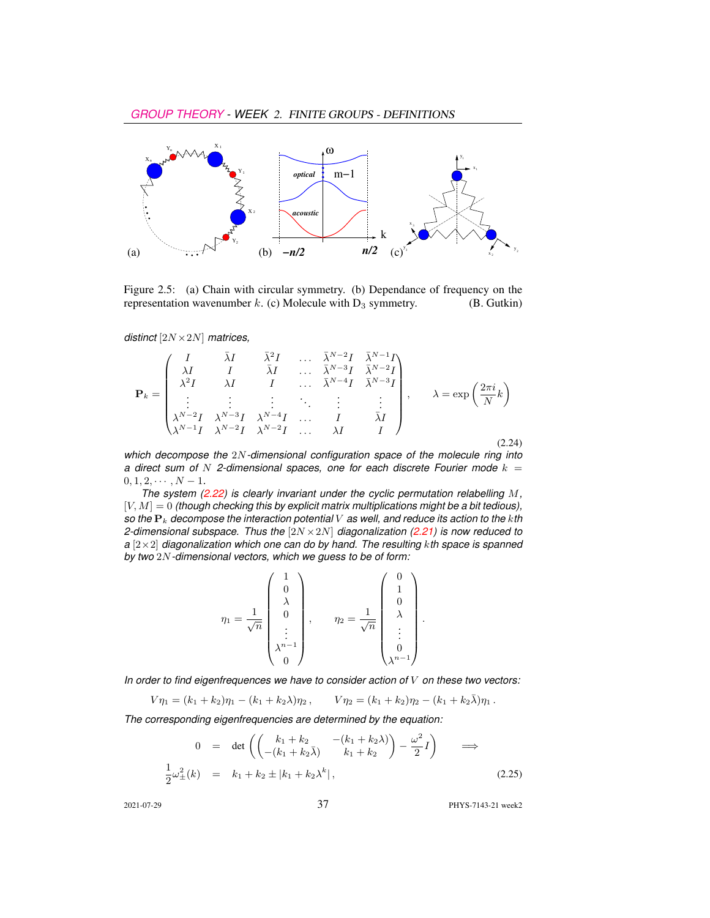

<span id="page-12-0"></span>Figure 2.5: (a) Chain with circular symmetry. (b) Dependance of frequency on the representation wavenumber k. (c) Molecule with  $D_3$  symmetry. (B. Gutkin)

*distinct* [2N ×2N] *matrices,*

$$
\mathbf{P}_{k} = \begin{pmatrix} I & \bar{\lambda}I & \bar{\lambda}^{2}I & \cdots & \bar{\lambda}^{N-2}I & \bar{\lambda}^{N-1}I \\ \lambda I & I & \bar{\lambda}I & \cdots & \bar{\lambda}^{N-3}I & \bar{\lambda}^{N-2}I \\ \lambda^{2}I & \lambda I & I & \cdots & \bar{\lambda}^{N-4}I & \bar{\lambda}^{N-3}I \\ \vdots & \vdots & \vdots & \ddots & \vdots & \vdots \\ \lambda^{N-2}I & \lambda^{N-3}I & \lambda^{N-4}I & \cdots & I & \bar{\lambda}I \\ \lambda^{N-1}I & \lambda^{N-2}I & \lambda^{N-2}I & \cdots & \lambda I & I \end{pmatrix}, \quad \lambda = \exp\left(\frac{2\pi i}{N}k\right)
$$
\n(2.24)

*which decompose the* 2N*-dimensional configuration space of the molecule ring into a direct sum of* N 2-dimensional spaces, one for each discrete Fourier mode  $k =$  $0, 1, 2, \cdots, N-1.$ 

*The system [\(2.22\)](#page-11-2) is clearly invariant under the cyclic permutation relabelling* M*,*  $[V, M] = 0$  *(though checking this by explicit matrix multiplications might be a bit tedious), so the* P<sup>k</sup> *decompose the interaction potential* V *as well, and reduce its action to the* k*th 2-dimensional subspace. Thus the* [2N ×2N] *diagonalization [\(2.21\)](#page-11-1) is now reduced to a* [2×2] *diagonalization which one can do by hand. The resulting* k*th space is spanned by two* 2N*-dimensional vectors, which we guess to be of form:*

$$
\eta_1 = \frac{1}{\sqrt{n}} \begin{pmatrix} 1 \\ 0 \\ \lambda \\ 0 \\ \vdots \\ \lambda^{n-1} \\ 0 \end{pmatrix}, \qquad \eta_2 = \frac{1}{\sqrt{n}} \begin{pmatrix} 0 \\ 1 \\ 0 \\ \lambda \\ \vdots \\ 0 \\ \lambda^{n-1} \end{pmatrix}.
$$

*In order to find eigenfrequences we have to consider action of* V *on these two vectors:*

$$
V\eta_1 = (k_1 + k_2)\eta_1 - (k_1 + k_2\lambda)\eta_2, \qquad V\eta_2 = (k_1 + k_2)\eta_2 - (k_1 + k_2\overline{\lambda})\eta_1.
$$

*The corresponding eigenfrequencies are determined by the equation:*

$$
0 = \det \left( \begin{pmatrix} k_1 + k_2 & -(k_1 + k_2 \lambda) \\ -(k_1 + k_2 \bar{\lambda}) & k_1 + k_2 \end{pmatrix} - \frac{\omega^2}{2} I \right) \implies
$$
  

$$
\frac{1}{2} \omega_{\pm}^2(k) = k_1 + k_2 \pm |k_1 + k_2 \lambda^k|,
$$
 (2.25)

2021-07-29 37 PHYS-7143-21 week2

 $\sim$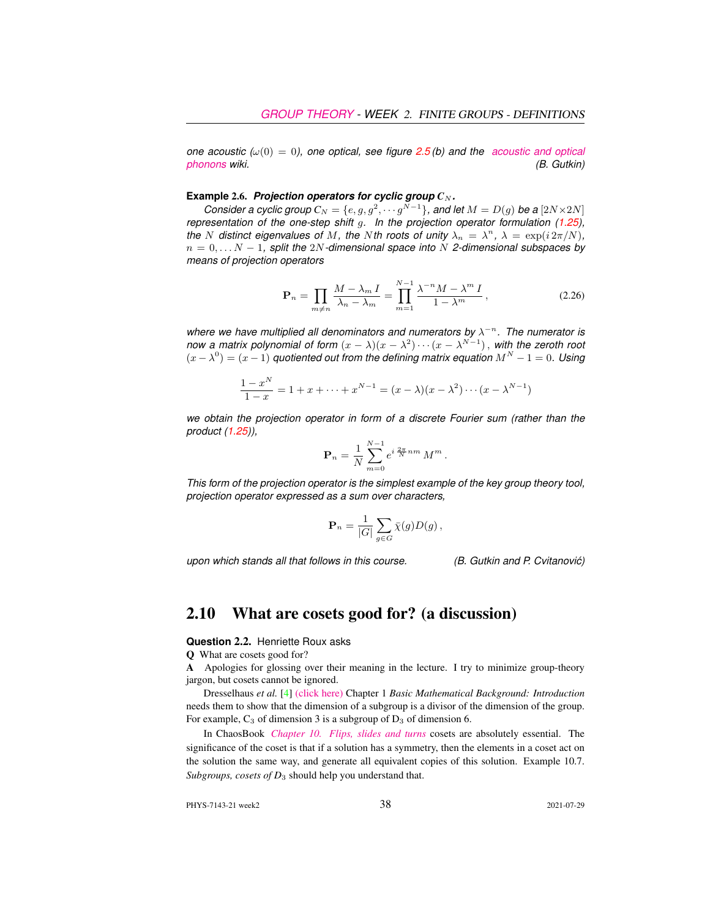*one acoustic (* $\omega(0) = 0$ *), one optical, see figure [2.5](#page-12-0)(b) and the [acoustic and optical](https://en.wikipedia.org/wiki/Phonon#Acoustic_and_optical_phonons) [phonons](https://en.wikipedia.org/wiki/Phonon#Acoustic_and_optical_phonons) wiki. (B. Gutkin)*

#### <span id="page-13-0"></span>**Example** 2.6. *Projection operators for cyclic group*  $C_N$ *.*

*Consider a cyclic group*  $C_N = \{e, g, g^2, \cdots g^{N-1}\}$ , and let  $M = D(g)$  be a  $[2N \times 2N]$ *representation of the one-step shift* g*. In the projection operator formulation (1.25), the* N distinct eigenvalues of M, the Nth roots of unity  $\lambda_n = \lambda^n$ ,  $\lambda = \exp(i 2\pi/N)$ , n = 0, . . . N − 1*, split the* 2N*-dimensional space into* N *2-dimensional subspaces by means of projection operators*

N

$$
\mathbf{P}_n = \prod_{m \neq n} \frac{M - \lambda_m I}{\lambda_n - \lambda_m} = \prod_{m=1}^{N-1} \frac{\lambda^{-n} M - \lambda^m I}{1 - \lambda^m},
$$
\n(2.26)

where we have multiplied all denominators and numerators by  $\lambda^{-n}$ . The numerator is *now a matrix polynomial of form*  $(x - \lambda)(x - \lambda^2) \cdots (x - \lambda^{N-1})$ , with the zeroth root  $(x - \lambda^0) = (x - 1)$  *quotiented out from the defining matrix equation*  $M^N - 1 = 0$ . Using

$$
\frac{1-x^N}{1-x} = 1 + x + \dots + x^{N-1} = (x - \lambda)(x - \lambda^2) \cdots (x - \lambda^{N-1})
$$

*we obtain the projection operator in form of a discrete Fourier sum (rather than the product (1.25)),*

$$
\mathbf{P}_n = \frac{1}{N} \sum_{m=0}^{N-1} e^{i \frac{2\pi}{N} nm} M^m.
$$

*This form of the projection operator is the simplest example of the key group theory tool, projection operator expressed as a sum over characters,*

$$
\mathbf{P}_n = \frac{1}{|G|} \sum_{g \in G} \bar{\chi}(g) D(g) \,,
$$

*upon which stands all that follows in this course. (B. Gutkin and P. Cvitanovic)´*

## 2.10 What are cosets good for? (a discussion)

#### **Question** 2.2. Henriette Roux asks

Q What are cosets good for?

A Apologies for glossing over their meaning in the lecture. I try to minimize group-theory jargon, but cosets cannot be ignored.

Dresselhaus *et al.* [\[4\]](#page-15-4) [\(click here\)](http://ChaosBook.org/library/Dresselhaus07.pdf) Chapter 1 *Basic Mathematical Background: Introduction* needs them to show that the dimension of a subgroup is a divisor of the dimension of the group. For example,  $C_3$  of dimension 3 is a subgroup of  $D_3$  of dimension 6.

In ChaosBook *[Chapter 10. Flips, slides and turns](http://ChaosBook.org/chapters/ChaosBook.pdf#chapter.10)* cosets are absolutely essential. The significance of the coset is that if a solution has a symmetry, then the elements in a coset act on the solution the same way, and generate all equivalent copies of this solution. Example 10.7. *Subgroups, cosets of D*<sup>3</sup> should help you understand that.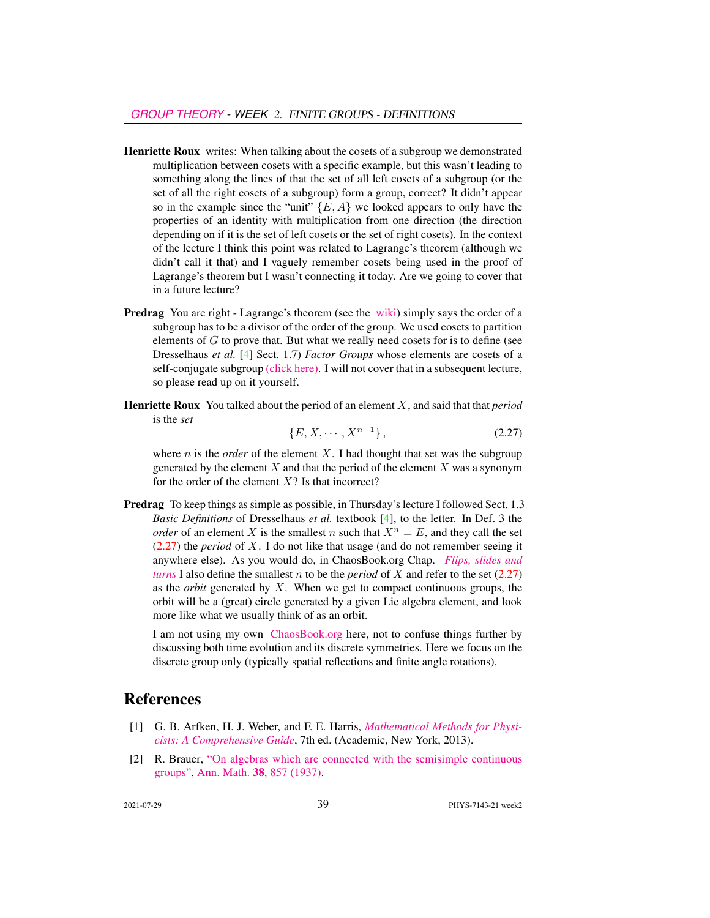- Henriette Roux writes: When talking about the cosets of a subgroup we demonstrated multiplication between cosets with a specific example, but this wasn't leading to something along the lines of that the set of all left cosets of a subgroup (or the set of all the right cosets of a subgroup) form a group, correct? It didn't appear so in the example since the "unit"  $\{E, A\}$  we looked appears to only have the properties of an identity with multiplication from one direction (the direction depending on if it is the set of left cosets or the set of right cosets). In the context of the lecture I think this point was related to Lagrange's theorem (although we didn't call it that) and I vaguely remember cosets being used in the proof of Lagrange's theorem but I wasn't connecting it today. Are we going to cover that in a future lecture?
- Predrag You are right Lagrange's theorem (see the [wiki\)](https://en.wikipedia.org/wiki/Lagrange%27s_theorem_(group_theory)) simply says the order of a subgroup has to be a divisor of the order of the group. We used cosets to partition elements of  $G$  to prove that. But what we really need cosets for is to define (see Dresselhaus *et al.* [\[4\]](#page-15-4) Sect. 1.7) *Factor Groups* whose elements are cosets of a self-conjugate subgroup [\(click here\).](http://ChaosBook.org/library/Dresselhaus07.pdf) I will not cover that in a subsequent lecture, so please read up on it yourself.
- Henriette Roux You talked about the period of an element X, and said that that *period* is the *set*

<span id="page-14-2"></span>
$$
\{E, X, \cdots, X^{n-1}\},\tag{2.27}
$$

where  $n$  is the *order* of the element  $X$ . I had thought that set was the subgroup generated by the element  $X$  and that the period of the element  $X$  was a synonym for the order of the element  $X$ ? Is that incorrect?

Predrag To keep things as simple as possible, in Thursday's lecture I followed Sect. 1.3 *Basic Definitions* of Dresselhaus *et al.* textbook [\[4\]](#page-15-4), to the letter. In Def. 3 the *order* of an element X is the smallest n such that  $X^n = E$ , and they call the set [\(2.27\)](#page-14-2) the *period* of X. I do not like that usage (and do not remember seeing it anywhere else). As you would do, in ChaosBook.org Chap. *[Flips, slides and](http://chaosbook.org/paper.shtml#finiteGr) [turns](http://chaosbook.org/paper.shtml#finiteGr)* I also define the smallest  $n$  to be the *period* of  $X$  and refer to the set  $(2.27)$ as the *orbit* generated by X. When we get to compact continuous groups, the orbit will be a (great) circle generated by a given Lie algebra element, and look more like what we usually think of as an orbit.

I am not using my own [ChaosBook.org](http://ChaosBook.org) here, not to confuse things further by discussing both time evolution and its discrete symmetries. Here we focus on the discrete group only (typically spatial reflections and finite angle rotations).

### References

- <span id="page-14-1"></span>[1] G. B. Arfken, H. J. Weber, and F. E. Harris, *[Mathematical Methods for Physi](http://books.google.com/books?vid=ISBN9780123846549)[cists: A Comprehensive Guide](http://books.google.com/books?vid=ISBN9780123846549)*, 7th ed. (Academic, New York, 2013).
- <span id="page-14-0"></span>[2] R. Brauer, ["On algebras which are connected with the semisimple continuous](http://dx.doi.org/10.2307/1968843) [groups",](http://dx.doi.org/10.2307/1968843) Ann. Math. 38[, 857 \(1937\).](https://doi.org/10.2307/1968843)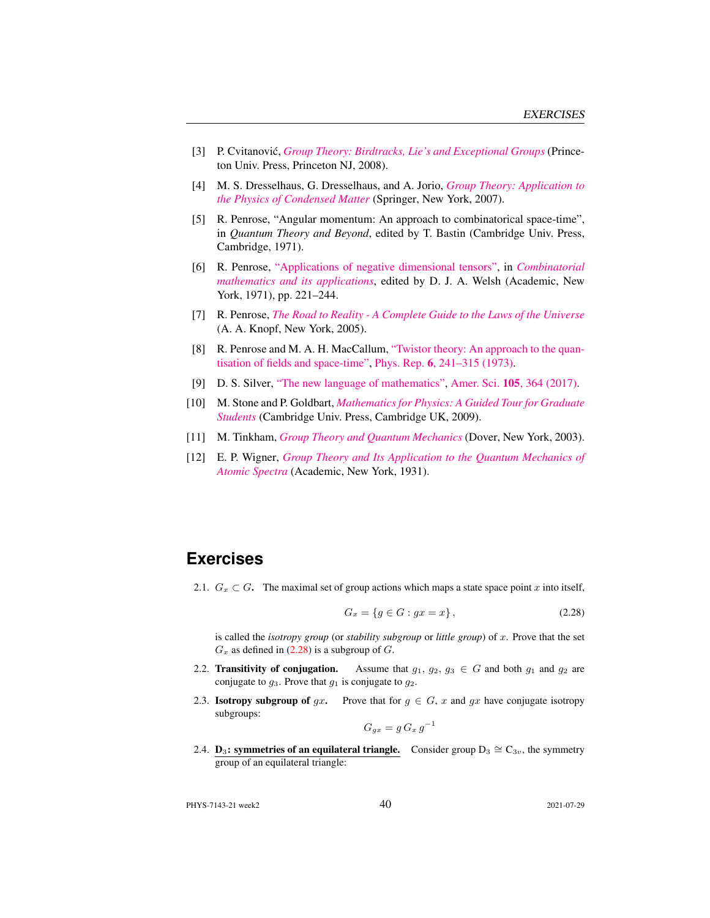- <span id="page-15-7"></span>[3] P. Cvitanović, *[Group Theory: Birdtracks, Lie's and Exceptional Groups](http://dx.doi.org/10.1515/9781400837670)* (Princeton Univ. Press, Princeton NJ, 2008).
- <span id="page-15-4"></span>[4] M. S. Dresselhaus, G. Dresselhaus, and A. Jorio, *[Group Theory: Application to](http://dx.doi.org/10.1007/978-3-540-32899-5) [the Physics of Condensed Matter](http://dx.doi.org/10.1007/978-3-540-32899-5)* (Springer, New York, 2007).
- <span id="page-15-11"></span>[5] R. Penrose, "Angular momentum: An approach to combinatorical space-time", in *Quantum Theory and Beyond*, edited by T. Bastin (Cambridge Univ. Press, Cambridge, 1971).
- <span id="page-15-9"></span>[6] R. Penrose, ["Applications of negative dimensional tensors",](http://homepages.math.uic.edu/~kauffman/Penrose.pdf) in *[Combinatorial](http://homepages.math.uic.edu/~kauffman/Penrose.pdf) [mathematics and its applications](http://homepages.math.uic.edu/~kauffman/Penrose.pdf)*, edited by D. J. A. Welsh (Academic, New York, 1971), pp. 221–244.
- <span id="page-15-5"></span>[7] R. Penrose, *[The Road to Reality - A Complete Guide to the Laws of the Universe](http://books.google.com/books?vid=ISBN9781446418208)* (A. A. Knopf, New York, 2005).
- <span id="page-15-10"></span>[8] R. Penrose and M. A. H. MacCallum, ["Twistor theory: An approach to the quan](http://dx.doi.org/10.1016/0370-1573(73)90008-2)[tisation of fields and space-time",](http://dx.doi.org/10.1016/0370-1573(73)90008-2) Phys. Rep. 6[, 241–315 \(1973\).](https://doi.org/10.1016/0370-1573(73)90008-2)
- <span id="page-15-8"></span>[9] D. S. Silver, ["The new language of mathematics",](http://dx.doi.org/10.1511/2017.105.6.364) Amer. Sci. 105[, 364 \(2017\).](https://doi.org/10.1511/2017.105.6.364)
- <span id="page-15-6"></span>[10] M. Stone and P. Goldbart, *[Mathematics for Physics: A Guided Tour for Graduate](http://dx.doi.org/10.1017/cbo9780511627040) [Students](http://dx.doi.org/10.1017/cbo9780511627040)* (Cambridge Univ. Press, Cambridge UK, 2009).
- <span id="page-15-12"></span>[11] M. Tinkham, *[Group Theory and Quantum Mechanics](http://dx.doi.org/10.1016/c2013-0-01646-5)* (Dover, New York, 2003).
- <span id="page-15-13"></span>[12] E. P. Wigner, *[Group Theory and Its Application to the Quantum Mechanics of](http://books.google.com/books?vid=ISBN9780323152785) [Atomic Spectra](http://books.google.com/books?vid=ISBN9780323152785)* (Academic, New York, 1931).

## **Exercises**

<span id="page-15-0"></span>2.1.  $G_x \subset G$ . The maximal set of group actions which maps a state space point x into itself,

<span id="page-15-14"></span>
$$
G_x = \{ g \in G : gx = x \},\tag{2.28}
$$

is called the *isotropy group* (or *stability subgroup* or *little group*) of x. Prove that the set  $G_x$  as defined in [\(2.28\)](#page-15-14) is a subgroup of  $G$ .

- <span id="page-15-1"></span>2.2. Transitivity of conjugation. Assume that  $g_1, g_2, g_3 \in G$  and both  $g_1$  and  $g_2$  are conjugate to  $g_3$ . Prove that  $g_1$  is conjugate to  $g_2$ .
- <span id="page-15-2"></span>2.3. **Isotropy subgroup of gx.** Prove that for  $g \in G$ , x and gx have conjugate isotropy subgroups: −1

$$
G_{gx} = g \, G_x \, g^-
$$

<span id="page-15-3"></span>2.4. **D**<sub>3</sub>: symmetries of an equilateral triangle. Consider group D<sub>3</sub>  $\cong$  C<sub>3v</sub>, the symmetry group of an equilateral triangle:

PHYS-7143-21 week2 40 2021-07-29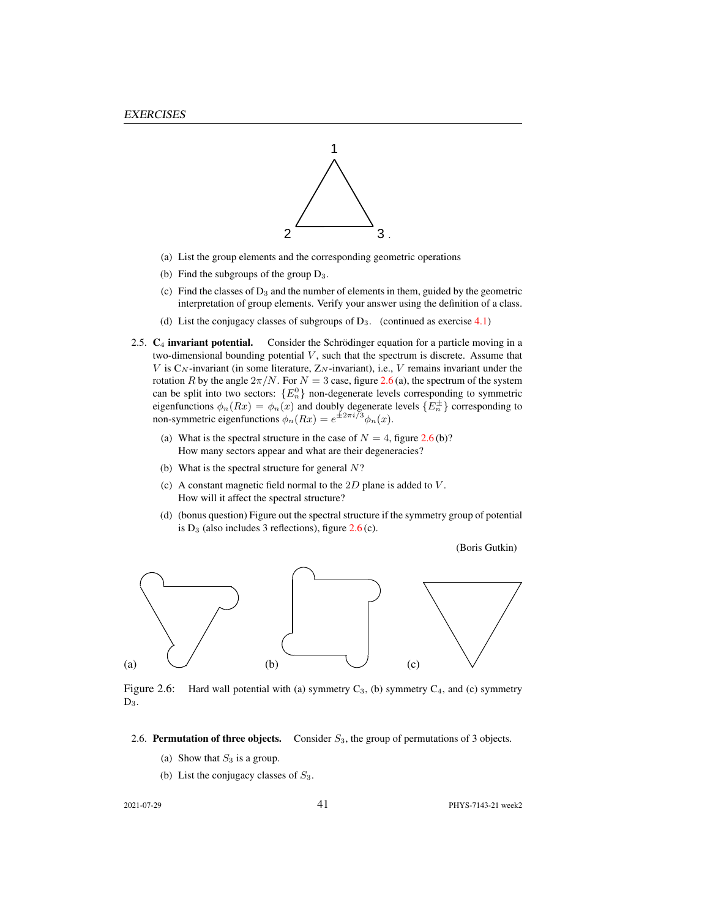

- (a) List the group elements and the corresponding geometric operations
- (b) Find the subgroups of the group  $D_3$ .
- (c) Find the classes of  $D_3$  and the number of elements in them, guided by the geometric interpretation of group elements. Verify your answer using the definition of a class.
- (d) List the conjugacy classes of subgroups of  $D_3$ . (continued as exercise 4.1)
- <span id="page-16-0"></span>2.5.  $C_4$  invariant potential. Consider the Schrödinger equation for a particle moving in a two-dimensional bounding potential  $V$ , such that the spectrum is discrete. Assume that V is  $C_N$ -invariant (in some literature,  $Z_N$ -invariant), i.e., V remains invariant under the rotation R by the angle  $2\pi/N$ . For  $N = 3$  case, figure [2.6](#page-16-2) (a), the spectrum of the system can be split into two sectors:  ${E_n^0}$  non-degenerate levels corresponding to symmetric eigenfunctions  $\phi_n(Rx) = \phi_n(x)$  and doubly degenerate levels  $\{E_n^{\pm}\}\$  corresponding to non-symmetric eigenfunctions  $\phi_n(Rx) = e^{\pm 2\pi i/3} \phi_n(x)$ .
	- (a) What is the spectral structure in the case of  $N = 4$ , figure [2.6](#page-16-2) (b)? How many sectors appear and what are their degeneracies?
	- (b) What is the spectral structure for general  $N$ ?
	- (c) A constant magnetic field normal to the  $2D$  plane is added to  $V$ . How will it affect the spectral structure?
	- (d) (bonus question) Figure out the spectral structure if the symmetry group of potential is  $D_3$  (also includes 3 reflections), figure  $2.6$  (c).

(Boris Gutkin)



<span id="page-16-2"></span>Figure 2.6: Hard wall potential with (a) symmetry  $C_3$ , (b) symmetry  $C_4$ , and (c) symmetry  $D_3$ .

- <span id="page-16-1"></span>2.6. Permutation of three objects. Consider  $S_3$ , the group of permutations of 3 objects.
	- (a) Show that  $S_3$  is a group.
	- (b) List the conjugacy classes of  $S_3$ .

2021-07-29 41 PHYS-7143-21 week2